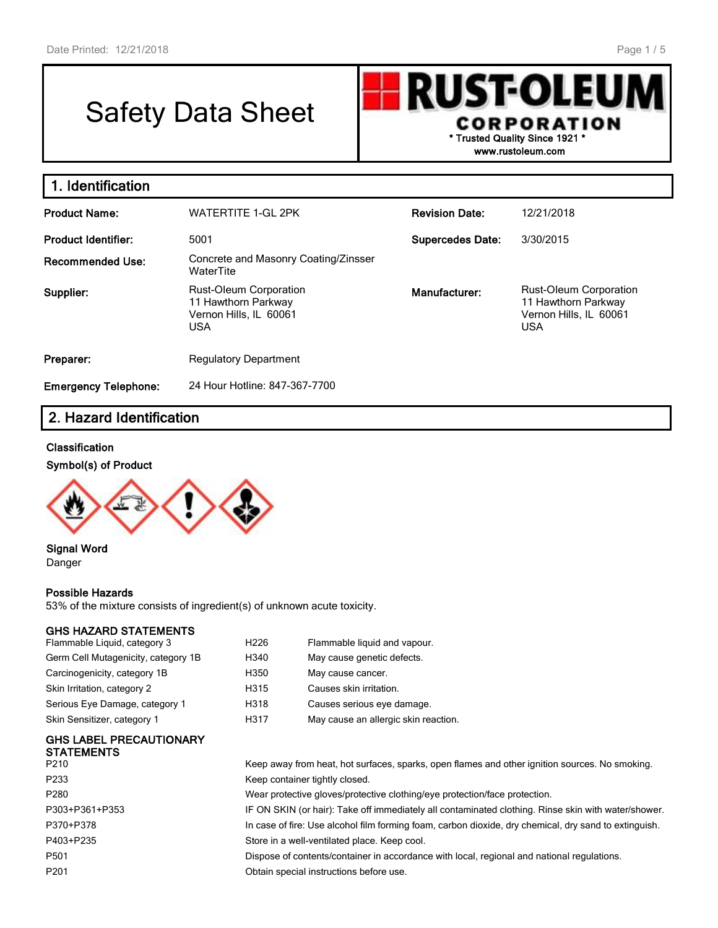# Safety Data Sheet

**RUST-OLEU CORPORATION \* Trusted Quality Since 1921 \***

**www.rustoleum.com**

| 1. Identification           |                                                                                       |                         |                                                                                       |  |  |  |
|-----------------------------|---------------------------------------------------------------------------------------|-------------------------|---------------------------------------------------------------------------------------|--|--|--|
| <b>Product Name:</b>        | <b>WATERTITE 1-GL 2PK</b>                                                             | <b>Revision Date:</b>   | 12/21/2018                                                                            |  |  |  |
| <b>Product Identifier:</b>  | 5001                                                                                  | <b>Supercedes Date:</b> | 3/30/2015                                                                             |  |  |  |
| <b>Recommended Use:</b>     | Concrete and Masonry Coating/Zinsser<br>WaterTite                                     |                         |                                                                                       |  |  |  |
| Supplier:                   | Rust-Oleum Corporation<br>11 Hawthorn Parkway<br>Vernon Hills, IL 60061<br><b>USA</b> | Manufacturer:           | Rust-Oleum Corporation<br>11 Hawthorn Parkway<br>Vernon Hills, IL 60061<br><b>USA</b> |  |  |  |
| Preparer:                   | <b>Regulatory Department</b>                                                          |                         |                                                                                       |  |  |  |
| <b>Emergency Telephone:</b> | 24 Hour Hotline: 847-367-7700                                                         |                         |                                                                                       |  |  |  |

# **2. Hazard Identification**

#### **Classification**

#### **Symbol(s) of Product**



#### **Signal Word** Danger

#### **Possible Hazards**

53% of the mixture consists of ingredient(s) of unknown acute toxicity.

### **GHS HAZARD STATEMENTS**

| Flammable Liquid, category 3        | H <sub>226</sub> | Flammable liquid and vapour.         |
|-------------------------------------|------------------|--------------------------------------|
| Germ Cell Mutagenicity, category 1B | H340             | May cause genetic defects.           |
| Carcinogenicity, category 1B        | H350             | May cause cancer.                    |
| Skin Irritation, category 2         | H315             | Causes skin irritation.              |
| Serious Eye Damage, category 1      | H318             | Causes serious eye damage.           |
| Skin Sensitizer, category 1         | H317             | May cause an allergic skin reaction. |
|                                     |                  |                                      |

#### **GHS LABEL PRECAUTIONARY STATEMENTS**

| P210           | Keep away from heat, hot surfaces, sparks, open flames and other ignition sources. No smoking.        |
|----------------|-------------------------------------------------------------------------------------------------------|
| P233           | Keep container tightly closed.                                                                        |
| P280           | Wear protective gloves/protective clothing/eye protection/face protection.                            |
| P303+P361+P353 | IF ON SKIN (or hair): Take off immediately all contaminated clothing. Rinse skin with water/shower.   |
| P370+P378      | In case of fire: Use alcohol film forming foam, carbon dioxide, dry chemical, dry sand to extinguish. |
| P403+P235      | Store in a well-ventilated place. Keep cool.                                                          |
| P501           | Dispose of contents/container in accordance with local, regional and national regulations.            |
| P201           | Obtain special instructions before use.                                                               |
|                |                                                                                                       |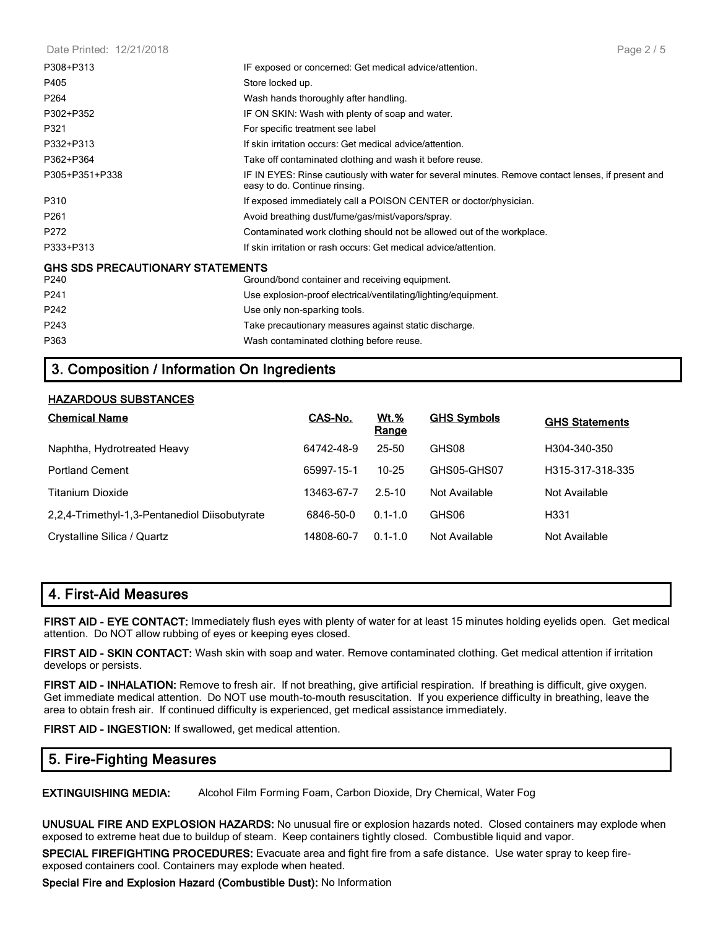| Date Printed: 12/21/2018 |  |
|--------------------------|--|
|--------------------------|--|

| P308+P313                                       | IF exposed or concerned: Get medical advice/attention.                                                                              |
|-------------------------------------------------|-------------------------------------------------------------------------------------------------------------------------------------|
| P405                                            | Store locked up.                                                                                                                    |
| P264                                            | Wash hands thoroughly after handling.                                                                                               |
| P302+P352                                       | IF ON SKIN: Wash with plenty of soap and water.                                                                                     |
| P321                                            | For specific treatment see label                                                                                                    |
| P332+P313                                       | If skin irritation occurs: Get medical advice/attention.                                                                            |
| P362+P364                                       | Take off contaminated clothing and wash it before reuse.                                                                            |
| P305+P351+P338                                  | IF IN EYES: Rinse cautiously with water for several minutes. Remove contact lenses, if present and<br>easy to do. Continue rinsing. |
| P310                                            | If exposed immediately call a POISON CENTER or doctor/physician.                                                                    |
| P261                                            | Avoid breathing dust/fume/gas/mist/vapors/spray.                                                                                    |
| P272                                            | Contaminated work clothing should not be allowed out of the workplace.                                                              |
| P333+P313                                       | If skin irritation or rash occurs: Get medical advice/attention.                                                                    |
| <b>GHS SDS PRECAUTIONARY STATEMENTS</b><br>P240 | Ground/bond container and receiving equipment.                                                                                      |
| P241                                            | Use explosion-proof electrical/ventilating/lighting/equipment.                                                                      |
| P242                                            | Use only non-sparking tools.                                                                                                        |
| P243                                            | Take precautionary measures against static discharge.                                                                               |
| P363                                            | Wash contaminated clothing before reuse.                                                                                            |
|                                                 |                                                                                                                                     |

## **3. Composition / Information On Ingredients**

#### **HAZARDOUS SUBSTANCES**

| <b>Chemical Name</b>                          | CAS-No.    | <u>Wt.%</u><br>Range | <b>GHS Symbols</b> | <b>GHS Statements</b> |
|-----------------------------------------------|------------|----------------------|--------------------|-----------------------|
| Naphtha, Hydrotreated Heavy                   | 64742-48-9 | $25 - 50$            | GHS08              | H304-340-350          |
| <b>Portland Cement</b>                        | 65997-15-1 | $10 - 25$            | GHS05-GHS07        | H315-317-318-335      |
| <b>Titanium Dioxide</b>                       | 13463-67-7 | $2.5 - 10$           | Not Available      | Not Available         |
| 2,2,4-Trimethyl-1,3-Pentanediol Diisobutyrate | 6846-50-0  | $0.1 - 1.0$          | GHS06              | H <sub>331</sub>      |
| Crystalline Silica / Quartz                   | 14808-60-7 | $0.1 - 1.0$          | Not Available      | Not Available         |

## **4. First-Aid Measures**

**FIRST AID - EYE CONTACT:** Immediately flush eyes with plenty of water for at least 15 minutes holding eyelids open. Get medical attention. Do NOT allow rubbing of eyes or keeping eyes closed.

**FIRST AID - SKIN CONTACT:** Wash skin with soap and water. Remove contaminated clothing. Get medical attention if irritation develops or persists.

**FIRST AID - INHALATION:** Remove to fresh air. If not breathing, give artificial respiration. If breathing is difficult, give oxygen. Get immediate medical attention. Do NOT use mouth-to-mouth resuscitation. If you experience difficulty in breathing, leave the area to obtain fresh air. If continued difficulty is experienced, get medical assistance immediately.

**FIRST AID - INGESTION:** If swallowed, get medical attention.

## **5. Fire-Fighting Measures**

**EXTINGUISHING MEDIA:** Alcohol Film Forming Foam, Carbon Dioxide, Dry Chemical, Water Fog

**UNUSUAL FIRE AND EXPLOSION HAZARDS:** No unusual fire or explosion hazards noted. Closed containers may explode when exposed to extreme heat due to buildup of steam. Keep containers tightly closed. Combustible liquid and vapor.

**SPECIAL FIREFIGHTING PROCEDURES:** Evacuate area and fight fire from a safe distance. Use water spray to keep fireexposed containers cool. Containers may explode when heated.

**Special Fire and Explosion Hazard (Combustible Dust):** No Information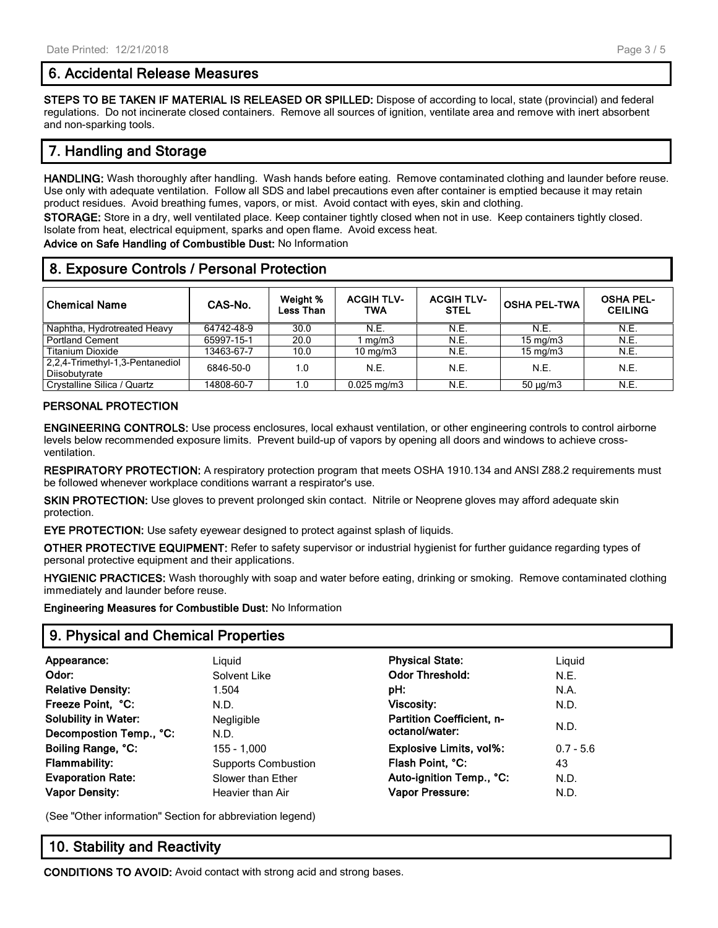## **6. Accidental Release Measures**

**STEPS TO BE TAKEN IF MATERIAL IS RELEASED OR SPILLED:** Dispose of according to local, state (provincial) and federal regulations. Do not incinerate closed containers. Remove all sources of ignition, ventilate area and remove with inert absorbent and non-sparking tools.

# **7. Handling and Storage**

**HANDLING:** Wash thoroughly after handling. Wash hands before eating. Remove contaminated clothing and launder before reuse. Use only with adequate ventilation. Follow all SDS and label precautions even after container is emptied because it may retain product residues. Avoid breathing fumes, vapors, or mist. Avoid contact with eyes, skin and clothing.

**STORAGE:** Store in a dry, well ventilated place. Keep container tightly closed when not in use. Keep containers tightly closed. Isolate from heat, electrical equipment, sparks and open flame. Avoid excess heat.

**Advice on Safe Handling of Combustible Dust:** No Information

# **8. Exposure Controls / Personal Protection**

| <b>Chemical Name</b>                             | CAS-No.    | Weight %<br><b>Less Than</b> | <b>ACGIH TLV-</b><br>TWA | <b>ACGIH TLV-</b><br><b>STEL</b> | <b>OSHA PEL-TWA</b> | <b>OSHA PEL-</b><br><b>CEILING</b> |
|--------------------------------------------------|------------|------------------------------|--------------------------|----------------------------------|---------------------|------------------------------------|
| Naphtha, Hydrotreated Heavy                      | 64742-48-9 | 30.0                         | N.E.                     | N.E.                             | N.E.                | N.E.                               |
| <b>Portland Cement</b>                           | 65997-15-1 | 20.0                         | mg/m3                    | N.E.                             | $15 \text{ mg/m}$   | N.E.                               |
| <b>Titanium Dioxide</b>                          | 13463-67-7 | 10.0                         | $10 \text{ mg/m}$        | N.E.                             | $15 \text{ mg/m}$   | N.E.                               |
| 2,2,4-Trimethyl-1,3-Pentanediol<br>Diisobutyrate | 6846-50-0  | 1.0                          | N.E.                     | N.E.                             | N.E.                | N.E.                               |
| Crystalline Silica / Quartz                      | 14808-60-7 | 1.0                          | $0.025$ mg/m $3$         | N.E.                             | $50 \mu g/m3$       | N.E.                               |

## **PERSONAL PROTECTION**

**ENGINEERING CONTROLS:** Use process enclosures, local exhaust ventilation, or other engineering controls to control airborne levels below recommended exposure limits. Prevent build-up of vapors by opening all doors and windows to achieve crossventilation.

**RESPIRATORY PROTECTION:** A respiratory protection program that meets OSHA 1910.134 and ANSI Z88.2 requirements must be followed whenever workplace conditions warrant a respirator's use.

**SKIN PROTECTION:** Use gloves to prevent prolonged skin contact. Nitrile or Neoprene gloves may afford adequate skin protection.

**EYE PROTECTION:** Use safety eyewear designed to protect against splash of liquids.

**OTHER PROTECTIVE EQUIPMENT:** Refer to safety supervisor or industrial hygienist for further guidance regarding types of personal protective equipment and their applications.

**HYGIENIC PRACTICES:** Wash thoroughly with soap and water before eating, drinking or smoking. Remove contaminated clothing immediately and launder before reuse.

**Engineering Measures for Combustible Dust:** No Information

## **9. Physical and Chemical Properties**

| Appearance:                 | Liguid                     | <b>Physical State:</b>           | Liguid      |  |
|-----------------------------|----------------------------|----------------------------------|-------------|--|
| Odor:                       | Solvent Like               | <b>Odor Threshold:</b>           | N.E.        |  |
| <b>Relative Density:</b>    | 1.504                      | pH:                              | N.A.        |  |
| Freeze Point, °C:           | N.D.                       | <b>Viscosity:</b>                | N.D.        |  |
| <b>Solubility in Water:</b> | Negligible                 | <b>Partition Coefficient, n-</b> |             |  |
| Decompostion Temp., °C:     | N.D.                       | octanol/water:                   | N.D.        |  |
| Boiling Range, °C:          | 155 - 1.000                | <b>Explosive Limits, vol%:</b>   | $0.7 - 5.6$ |  |
| <b>Flammability:</b>        | <b>Supports Combustion</b> | Flash Point, °C:                 | 43          |  |
| <b>Evaporation Rate:</b>    | Slower than Ether          | Auto-ignition Temp., °C:         | N.D.        |  |
| <b>Vapor Density:</b>       | Heavier than Air           | Vapor Pressure:                  | N.D.        |  |
|                             |                            |                                  |             |  |

(See "Other information" Section for abbreviation legend)

## **10. Stability and Reactivity**

**CONDITIONS TO AVOID:** Avoid contact with strong acid and strong bases.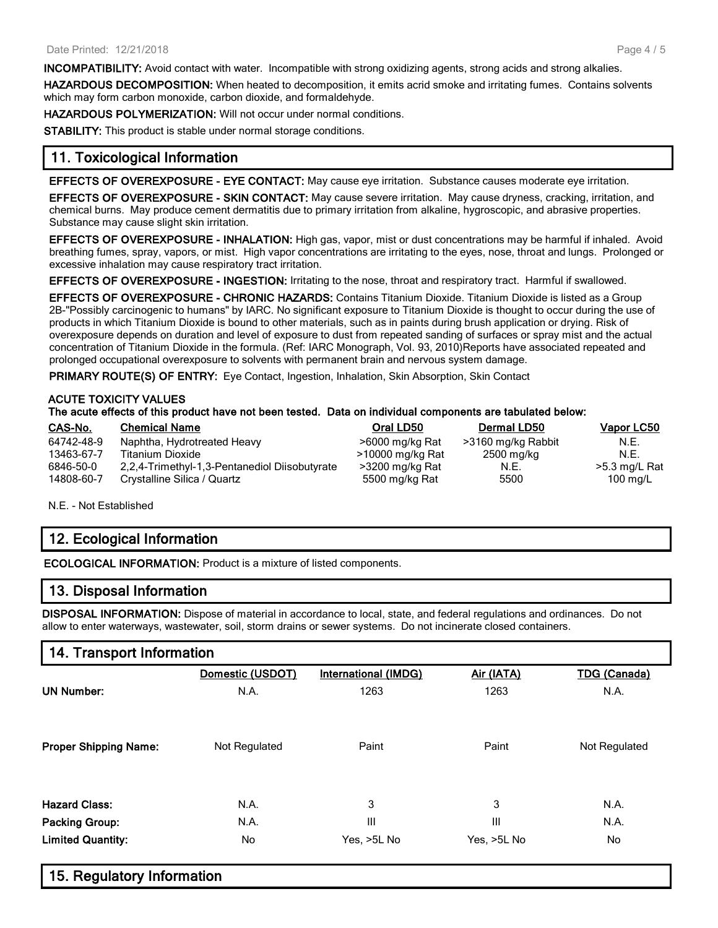**INCOMPATIBILITY:** Avoid contact with water. Incompatible with strong oxidizing agents, strong acids and strong alkalies.

**HAZARDOUS DECOMPOSITION:** When heated to decomposition, it emits acrid smoke and irritating fumes. Contains solvents which may form carbon monoxide, carbon dioxide, and formaldehyde.

**HAZARDOUS POLYMERIZATION:** Will not occur under normal conditions.

**STABILITY:** This product is stable under normal storage conditions.

## **11. Toxicological Information**

**EFFECTS OF OVEREXPOSURE - EYE CONTACT:** May cause eye irritation. Substance causes moderate eye irritation.

**EFFECTS OF OVEREXPOSURE - SKIN CONTACT:** May cause severe irritation. May cause dryness, cracking, irritation, and chemical burns. May produce cement dermatitis due to primary irritation from alkaline, hygroscopic, and abrasive properties. Substance may cause slight skin irritation.

**EFFECTS OF OVEREXPOSURE - INHALATION:** High gas, vapor, mist or dust concentrations may be harmful if inhaled. Avoid breathing fumes, spray, vapors, or mist. High vapor concentrations are irritating to the eyes, nose, throat and lungs. Prolonged or excessive inhalation may cause respiratory tract irritation.

**EFFECTS OF OVEREXPOSURE - INGESTION:** Irritating to the nose, throat and respiratory tract. Harmful if swallowed.

**EFFECTS OF OVEREXPOSURE - CHRONIC HAZARDS:** Contains Titanium Dioxide. Titanium Dioxide is listed as a Group 2B-"Possibly carcinogenic to humans" by IARC. No significant exposure to Titanium Dioxide is thought to occur during the use of products in which Titanium Dioxide is bound to other materials, such as in paints during brush application or drying. Risk of overexposure depends on duration and level of exposure to dust from repeated sanding of surfaces or spray mist and the actual concentration of Titanium Dioxide in the formula. (Ref: IARC Monograph, Vol. 93, 2010)Reports have associated repeated and prolonged occupational overexposure to solvents with permanent brain and nervous system damage.

**PRIMARY ROUTE(S) OF ENTRY:** Eye Contact, Ingestion, Inhalation, Skin Absorption, Skin Contact

### **ACUTE TOXICITY VALUES**

#### **The acute effects of this product have not been tested. Data on individual components are tabulated below:**

| CAS-No.    | <b>Chemical Name</b>                          | Oral LD50        | <b>Dermal LD50</b> | Vapor LC50         |
|------------|-----------------------------------------------|------------------|--------------------|--------------------|
| 64742-48-9 | Naphtha, Hydrotreated Heavy                   | >6000 mg/kg Rat  | >3160 mg/kg Rabbit | N.E.               |
| 13463-67-7 | Titanium Dioxide                              | >10000 mg/kg Rat | 2500 mg/kg         | N.E.               |
| 6846-50-0  | 2,2,4-Trimethyl-1,3-Pentanediol Diisobutyrate | >3200 mg/kg Rat  | N.E.               | $>5.3$ mg/L Rat    |
| 14808-60-7 | Crystalline Silica / Quartz                   | 5500 mg/kg Rat   | 5500               | $100 \text{ mg/L}$ |

N.E. - Not Established

## **12. Ecological Information**

**ECOLOGICAL INFORMATION:** Product is a mixture of listed components.

## **13. Disposal Information**

**DISPOSAL INFORMATION:** Dispose of material in accordance to local, state, and federal regulations and ordinances. Do not allow to enter waterways, wastewater, soil, storm drains or sewer systems. Do not incinerate closed containers.

# **14. Transport Information**

|                              | Domestic (USDOT) | <b>International (IMDG)</b> | Air (IATA)  | <b>TDG (Canada)</b> |
|------------------------------|------------------|-----------------------------|-------------|---------------------|
| <b>UN Number:</b>            | N.A.             | 1263                        | 1263        | N.A.                |
|                              |                  |                             |             |                     |
|                              |                  |                             |             |                     |
| <b>Proper Shipping Name:</b> | Not Regulated    | Paint                       | Paint       | Not Regulated       |
|                              |                  |                             |             |                     |
| <b>Hazard Class:</b>         | N.A.             | 3                           | 3           | N.A.                |
| <b>Packing Group:</b>        | N.A.             | Ш                           | Ш           | N.A.                |
| <b>Limited Quantity:</b>     | No               | Yes, >5L No                 | Yes, >5L No | No                  |
|                              |                  |                             |             |                     |

| 15. Regulatory Information |  |
|----------------------------|--|
|----------------------------|--|